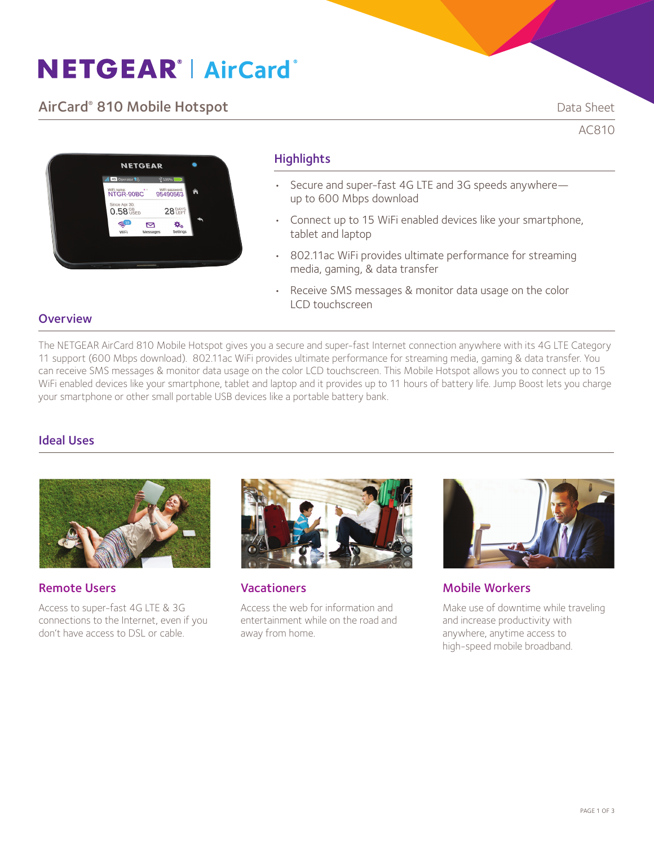# **NETGEAR® AirCard®**

## AirCard® 810 Mobile Hotspot **Data Sheet** Data Sheet

AC810



## **Highlights**

- Secure and super-fast 4G LTE and 3G speeds anywhere up to 600 Mbps download
- Connect up to 15 WiFi enabled devices like your smartphone, tablet and laptop
- 802.11ac WiFi provides ultimate performance for streaming media, gaming, & data transfer
- Receive SMS messages & monitor data usage on the color LCD touchscreen

### **Overview**

The NETGEAR AirCard 810 Mobile Hotspot gives you a secure and super-fast Internet connection anywhere with its 4G LTE Category 11 support (600 Mbps download). 802.11ac WiFi provides ultimate performance for streaming media, gaming & data transfer. You can receive SMS messages & monitor data usage on the color LCD touchscreen. This Mobile Hotspot allows you to connect up to 15 WiFi enabled devices like your smartphone, tablet and laptop and it provides up to 11 hours of battery life. Jump Boost lets you charge your smartphone or other small portable USB devices like a portable battery bank.

## Ideal Uses



Remote Users

Access to super-fast 4G LTE & 3G connections to the Internet, even if you don't have access to DSL or cable.



**Vacationers** 

Access the web for information and entertainment while on the road and away from home.



Mobile Workers

Make use of downtime while traveling and increase productivity with anywhere, anytime access to high-speed mobile broadband.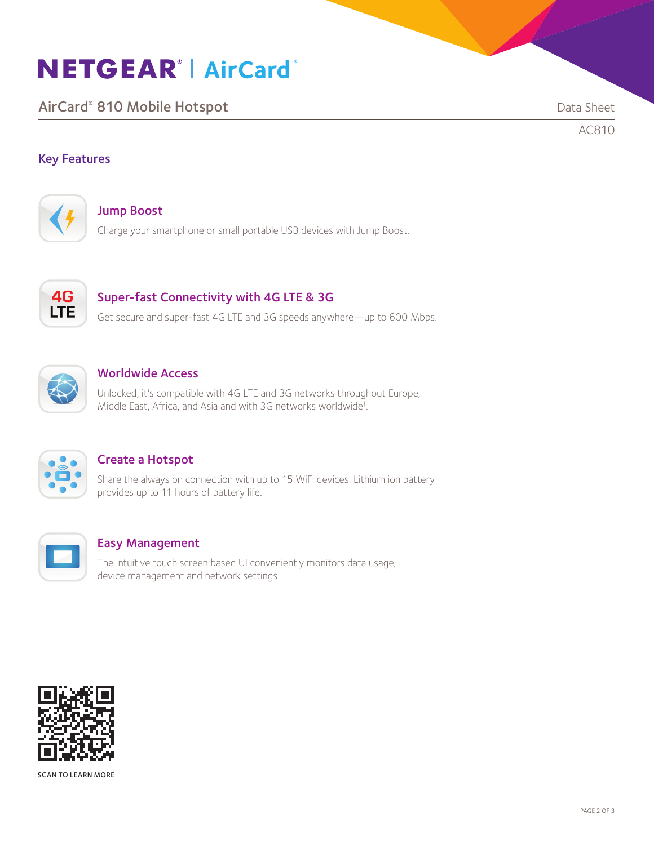# **NETGEAR® | AirCard®**

AirCard® 810 Mobile Hotspot **Data Sheet** Data Sheet

AC810

## Key Features



### Jump Boost

Charge your smartphone or small portable USB devices with Jump Boost.



## Super-fast Connectivity with 4G LTE & 3G

Get secure and super-fast 4G LTE and 3G speeds anywhere—up to 600 Mbps.



## Worldwide Access

Unlocked, it's compatible with 4G LTE and 3G networks throughout Europe, Middle East, Africa, and Asia and with 3G networks worldwide† .



## Create a Hotspot

Share the always on connection with up to 15 WiFi devices. Lithium ion battery provides up to 11 hours of battery life.



### Easy Management

The intuitive touch screen based UI conveniently monitors data usage, device management and network settings



SCAN TO LEARN MORE